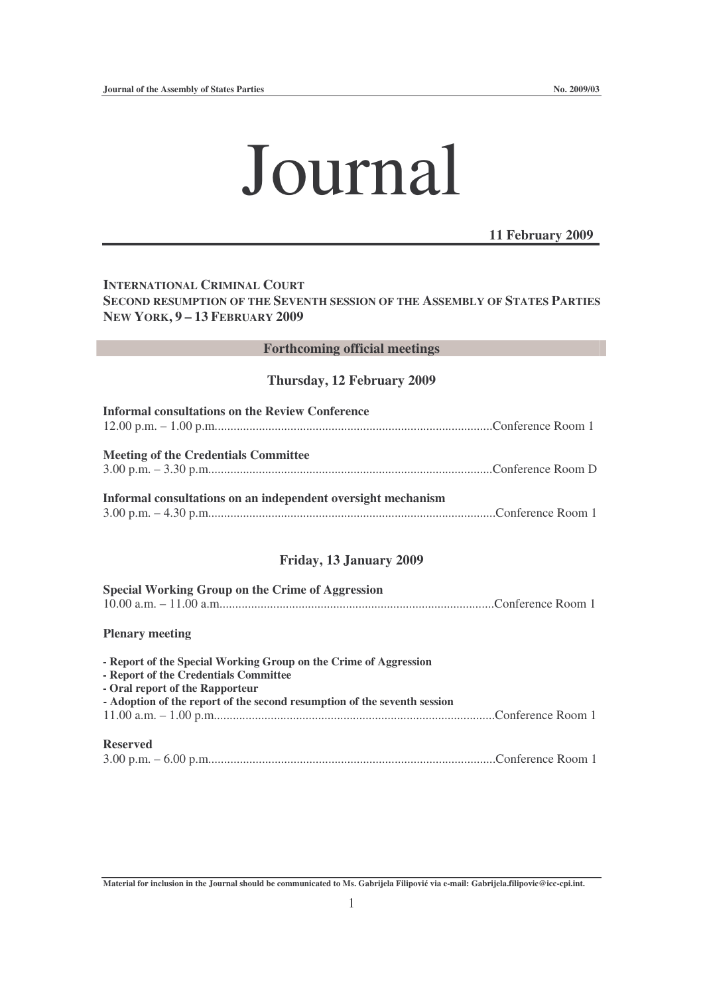# Journal

**11 February 2009**

## **INTERNATIONAL CRIMINAL COURT SECOND RESUMPTION OF THE SEVENTH SESSION OF THE ASSEMBLY OF STATES PARTIES NEW YORK, 9 – 13 FEBRUARY 2009**

### **Forthcoming official meetings**

#### **Thursday, 12 February 2009**

| <b>Informal consultations on the Review Conference</b>       |  |
|--------------------------------------------------------------|--|
| <b>Meeting of the Credentials Committee</b>                  |  |
| Informal consultations on an independent oversight mechanism |  |

#### **Friday, 13 January 2009**

| Special Working Group on the Crime of Aggression |  |
|--------------------------------------------------|--|
|                                                  |  |

#### **Plenary meeting**

| - Report of the Special Working Group on the Crime of Aggression<br>- Report of the Credentials Committee |
|-----------------------------------------------------------------------------------------------------------|
| - Oral report of the Rapporteur                                                                           |
| - Adoption of the report of the second resumption of the seventh session                                  |
|                                                                                                           |
| <b>Reserved</b>                                                                                           |

|--|--|--|

Material for inclusion in the Journal should be communicated to Ms. Gabrijela Filipović via e-mail: Gabrijela.filipovic@icc-cpi.int.